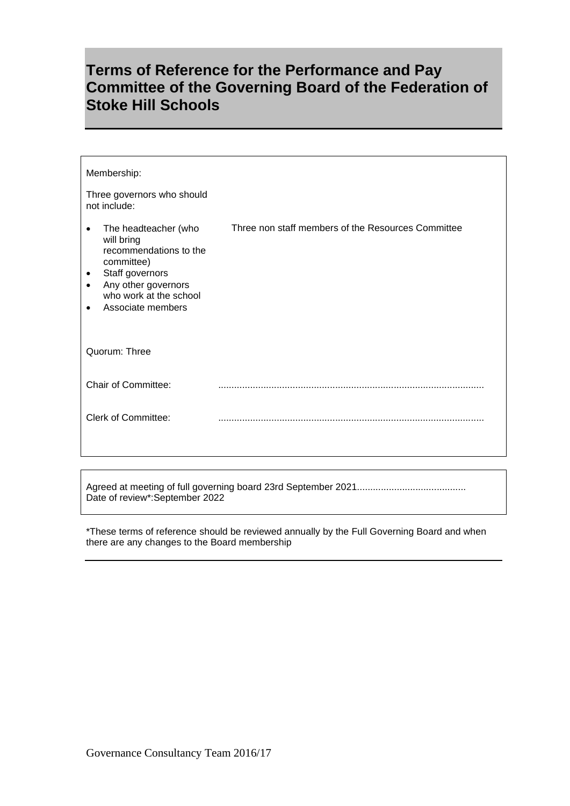## **Terms of Reference for the Performance and Pay Committee of the Governing Board of the Federation of Stoke Hill Schools**

| Membership:                                                                                                                                                                                                             |                                                    |
|-------------------------------------------------------------------------------------------------------------------------------------------------------------------------------------------------------------------------|----------------------------------------------------|
| Three governors who should<br>not include:                                                                                                                                                                              |                                                    |
| The headteacher (who<br>$\bullet$<br>will bring<br>recommendations to the<br>committee)<br>Staff governors<br>$\bullet$<br>Any other governors<br>$\bullet$<br>who work at the school<br>Associate members<br>$\bullet$ | Three non staff members of the Resources Committee |
| Quorum: Three                                                                                                                                                                                                           |                                                    |
| <b>Chair of Committee:</b>                                                                                                                                                                                              |                                                    |
| <b>Clerk of Committee:</b>                                                                                                                                                                                              |                                                    |

Agreed at meeting of full governing board 23rd September 2021......................................... Date of review\*:September 2022

\*These terms of reference should be reviewed annually by the Full Governing Board and when there are any changes to the Board membership